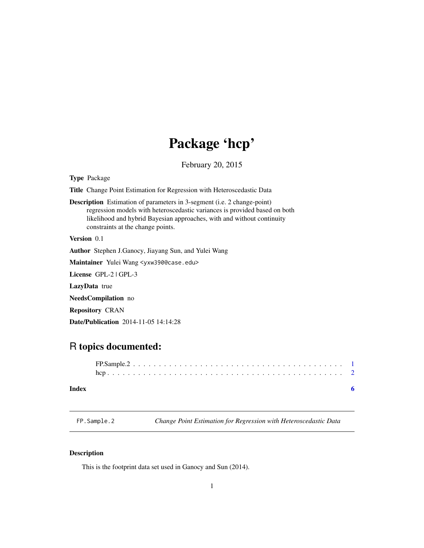# Package 'hcp'

February 20, 2015

<span id="page-0-0"></span>Type Package

Title Change Point Estimation for Regression with Heteroscedastic Data

Description Estimation of parameters in 3-segment (i.e. 2 change-point) regression models with heteroscedastic variances is provided based on both likelihood and hybrid Bayesian approaches, with and without continuity constraints at the change points.

Version 0.1

Author Stephen J.Ganocy, Jiayang Sun, and Yulei Wang

Maintainer Yulei Wang <yxw390@case.edu>

License GPL-2 | GPL-3

LazyData true

NeedsCompilation no

Repository CRAN

Date/Publication 2014-11-05 14:14:28

## R topics documented:

#### **Index** [6](#page-5-0) **6**

FP.Sample.2 *Change Point Estimation for Regression with Heteroscedastic Data*

#### Description

This is the footprint data set used in Ganocy and Sun (2014).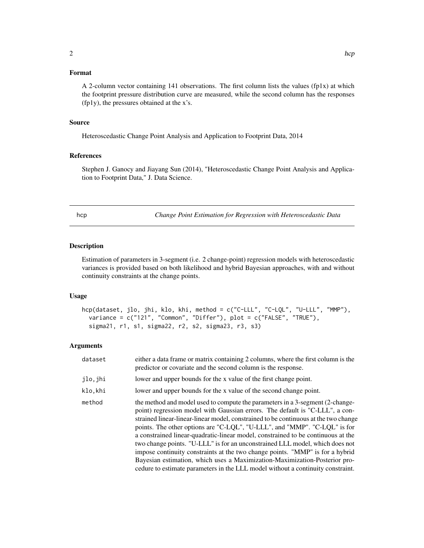#### <span id="page-1-0"></span>Format

A 2-column vector containing 141 observations. The first column lists the values (fp1x) at which the footprint pressure distribution curve are measured, while the second column has the responses (fp1y), the pressures obtained at the x's.

#### Source

Heteroscedastic Change Point Analysis and Application to Footprint Data, 2014

#### References

Stephen J. Ganocy and Jiayang Sun (2014), "Heteroscedastic Change Point Analysis and Application to Footprint Data," J. Data Science.

hcp *Change Point Estimation for Regression with Heteroscedastic Data*

#### Description

Estimation of parameters in 3-segment (i.e. 2 change-point) regression models with heteroscedastic variances is provided based on both likelihood and hybrid Bayesian approaches, with and without continuity constraints at the change points.

#### Usage

```
hcp(dataset, jlo, jhi, klo, khi, method = c("C-LLL", "C-LQL", "U-LLL", "MMP"),
  variance = c("121", "Common", "Differ"), plot = c("FALSE", "TRUE"),
  sigma21, r1, s1, sigma22, r2, s2, sigma23, r3, s3)
```
#### Arguments

| dataset | either a data frame or matrix containing 2 columns, where the first column is the<br>predictor or covariate and the second column is the response.                                                                                                                                                                                                                                                                                                                                                                                                                                                                                                                                                                                                      |
|---------|---------------------------------------------------------------------------------------------------------------------------------------------------------------------------------------------------------------------------------------------------------------------------------------------------------------------------------------------------------------------------------------------------------------------------------------------------------------------------------------------------------------------------------------------------------------------------------------------------------------------------------------------------------------------------------------------------------------------------------------------------------|
| jlo,jhi | lower and upper bounds for the x value of the first change point.                                                                                                                                                                                                                                                                                                                                                                                                                                                                                                                                                                                                                                                                                       |
| klo,khi | lower and upper bounds for the x value of the second change point.                                                                                                                                                                                                                                                                                                                                                                                                                                                                                                                                                                                                                                                                                      |
| method  | the method and model used to compute the parameters in a 3-segment (2-change-<br>point) regression model with Gaussian errors. The default is "C-LLL", a con-<br>strained linear-linear-linear model, constrained to be continuous at the two change<br>points. The other options are "C-LQL", "U-LLL", and "MMP". "C-LQL" is for<br>a constrained linear-quadratic-linear model, constrained to be continuous at the<br>two change points. "U-LLL" is for an unconstrained LLL model, which does not<br>impose continuity constraints at the two change points. "MMP" is for a hybrid<br>Bayesian estimation, which uses a Maximization-Maximization-Posterior pro-<br>cedure to estimate parameters in the LLL model without a continuity constraint. |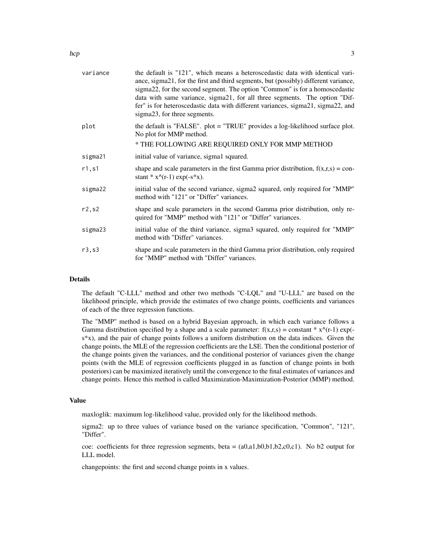| variance | the default is "121", which means a heteroscedastic data with identical vari-<br>ance, sigma21, for the first and third segments, but (possibly) different variance,<br>sigma22, for the second segment. The option "Common" is for a homoscedastic<br>data with same variance, sigma21, for all three segments. The option "Dif-<br>fer" is for heteroscedastic data with different variances, sigma21, sigma22, and<br>sigma23, for three segments. |
|----------|-------------------------------------------------------------------------------------------------------------------------------------------------------------------------------------------------------------------------------------------------------------------------------------------------------------------------------------------------------------------------------------------------------------------------------------------------------|
| plot     | the default is "FALSE". plot = "TRUE" provides a log-likelihood surface plot.<br>No plot for MMP method.<br>* THE FOLLOWING ARE REQUIRED ONLY FOR MMP METHOD                                                                                                                                                                                                                                                                                          |
|          |                                                                                                                                                                                                                                                                                                                                                                                                                                                       |
| sigma21  | initial value of variance, sigma1 squared.                                                                                                                                                                                                                                                                                                                                                                                                            |
| r1, s1   | shape and scale parameters in the first Gamma prior distribution, $f(x,r,s) = con-$<br>stant * $x^{\wedge}(r-1)$ exp( $-s^*x$ ).                                                                                                                                                                                                                                                                                                                      |
| sigma22  | initial value of the second variance, sigma2 squared, only required for "MMP"<br>method with "121" or "Differ" variances.                                                                                                                                                                                                                                                                                                                             |
| r2,s2    | shape and scale parameters in the second Gamma prior distribution, only re-<br>quired for "MMP" method with "121" or "Differ" variances.                                                                                                                                                                                                                                                                                                              |
| sigma23  | initial value of the third variance, sigma3 squared, only required for "MMP"<br>method with "Differ" variances.                                                                                                                                                                                                                                                                                                                                       |
| r3, s3   | shape and scale parameters in the third Gamma prior distribution, only required<br>for "MMP" method with "Differ" variances.                                                                                                                                                                                                                                                                                                                          |
|          |                                                                                                                                                                                                                                                                                                                                                                                                                                                       |

#### Details

The default "C-LLL" method and other two methods "C-LQL" and "U-LLL" are based on the likelihood principle, which provide the estimates of two change points, coefficients and variances of each of the three regression functions.

The "MMP" method is based on a hybrid Bayesian approach, in which each variance follows a Gamma distribution specified by a shape and a scale parameter:  $f(x,r,s) = constant * x^(r-1) exp(-r^2)$ s\*x), and the pair of change points follows a uniform distribution on the data indices. Given the change points, the MLE of the regression coefficients are the LSE. Then the conditional posterior of the change points given the variances, and the conditional posterior of variances given the change points (with the MLE of regression coefficients plugged in as function of change points in both posteriors) can be maximized iteratively until the convergence to the final estimates of variances and change points. Hence this method is called Maximization-Maximization-Posterior (MMP) method.

#### Value

maxloglik: maximum log-likelihood value, provided only for the likelihood methods.

sigma2: up to three values of variance based on the variance specification, "Common", "121", "Differ".

coe: coefficients for three regression segments, beta =  $(a0, a1, b0, b1, b2, c0, c1)$ . No b2 output for LLL model.

changepoints: the first and second change points in x values.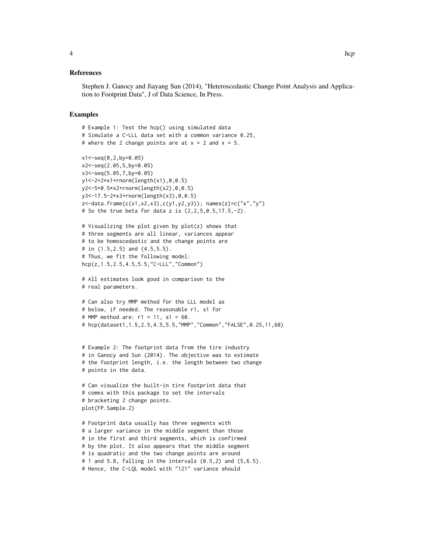#### References

Stephen J. Ganocy and Jiayang Sun (2014), "Heteroscedastic Change Point Analysis and Application to Footprint Data", J of Data Science, In Press.

#### Examples

```
# Example 1: Test the hcp() using simulated data
# Simulate a C-LLL data set with a common variance 0.25,
# where the 2 change points are at x = 2 and x = 5.
x1 < -seq(0, 2, by=0.05)x2<-seq(2.05,5,by=0.05)
x3<-seq(5.05,7,by=0.05)
y1<-2+2*x1+rnorm(length(x1),0,0.5)
y2<-5+0.5*x2+rnorm(length(x2),0,0.5)
y3<-17.5-2*x3+rnorm(length(x3),0,0.5)
z<-data.frame(c(x1,x2,x3),c(y1,y2,y3)); names(z)=c("x","y")
# So the true beta for data z is (2, 2, 5, 0.5, 17.5, -2).
# Visualizing the plot given by plot(z) shows that
# three segments are all linear, variances appear
# to be homoscedastic and the change points are
# in (1.5,2.5) and (4.5,5.5).
# Thus, we fit the following model:
hcp(z,1.5,2.5,4.5,5.5,"C-LLL","Common")
# All estimates look good in comparison to the
# real parameters.
# Can also try MMP method for the LLL model as
# below, if needed. The reasonable r1, s1 for
# MMP method are: r1 = 11, s1 = 60.
# hcp(dataset1,1.5,2.5,4.5,5.5,"MMP","Common","FALSE",0.25,11,60)
# Example 2: The footprint data from the tire industry
# in Ganocy and Sun (2014). The objective was to estimate
# the footprint length, i.e. the length between two change
# points in the data.
# Can visualize the built-in tire footprint data that
# comes with this package to set the intervals
# bracketing 2 change points.
plot(FP.Sample.2)
# Footprint data usually has three segments with
# a larger variance in the middle segment than those
# in the first and third segments, which is confirmed
# by the plot. It also appears that the middle segment
# is quadratic and the two change points are around
# 1 and 5.8, falling in the intervals (0.5,2) and (5,6.5).
# Hence, the C-LQL model with "121" variance should
```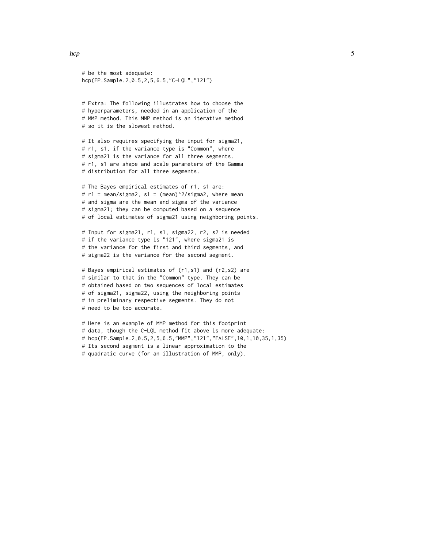```
# be the most adequate:
hcp(FP.Sample.2,0.5,2,5,6.5,"C-LQL","121")
```

```
# Extra: The following illustrates how to choose the
# hyperparameters, needed in an application of the
# MMP method. This MMP method is an iterative method
# so it is the slowest method.
```
# It also requires specifying the input for sigma21, # r1, s1, if the variance type is "Common", where # sigma21 is the variance for all three segments. # r1, s1 are shape and scale parameters of the Gamma # distribution for all three segments.

```
# The Bayes empirical estimates of r1, s1 are:
# r1 = mean/sigma2, s1 = (mean)^2/sigma2, where mean
# and sigma are the mean and sigma of the variance
# sigma21; they can be computed based on a sequence
# of local estimates of sigma21 using neighboring points.
```

```
# Input for sigma21, r1, s1, sigma22, r2, s2 is needed
# if the variance type is "121", where sigma21 is
# the variance for the first and third segments, and
# sigma22 is the variance for the second segment.
```

```
# Bayes empirical estimates of (r1,s1) and (r2,s2) are
# similar to that in the "Common" type. They can be
# obtained based on two sequences of local estimates
# of sigma21, sigma22, using the neighboring points
# in preliminary respective segments. They do not
# need to be too accurate.
```

```
# Here is an example of MMP method for this footprint
# data, though the C-LQL method fit above is more adequate:
# hcp(FP.Sample.2,0.5,2,5,6.5,"MMP","121","FALSE",10,1,10,35,1,35)
# Its second segment is a linear approximation to the
# quadratic curve (for an illustration of MMP, only).
```
hcp 5